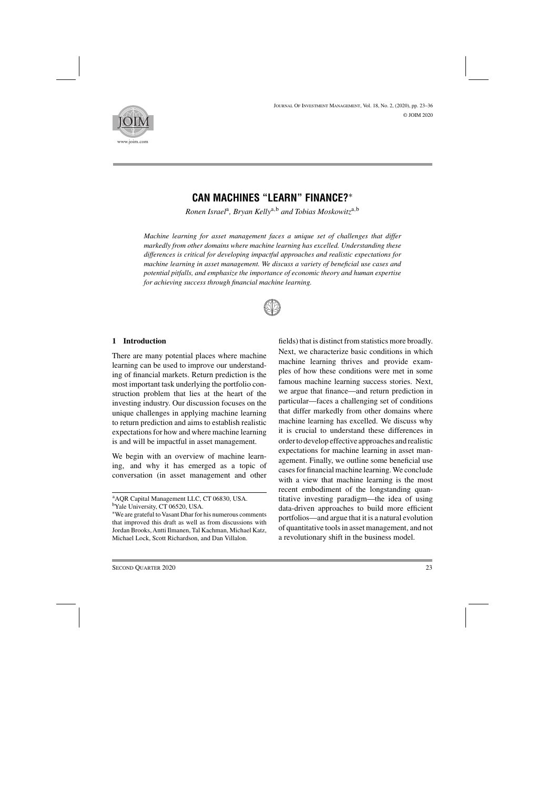

# **CAN MACHINES "LEARN" FINANCE?**∗

*Ronen Israel*a*, Bryan Kelly*a,<sup>b</sup> *and Tobias Moskowitz*a,<sup>b</sup>

*Machine learning for asset management faces a unique set of challenges that differ markedly from other domains where machine learning has excelled. Understanding these differences is critical for developing impactful approaches and realistic expectations for machine learning in asset management. We discuss a variety of beneficial use cases and potential pitfalls, and emphasize the importance of economic theory and human expertise for achieving success through financial machine learning.*



## **1 Introduction**

There are many potential places where machine learning can be used to improve our understanding of financial markets. Return prediction is the most important task underlying the portfolio construction problem that lies at the heart of the investing industry. Our discussion focuses on the unique challenges in applying machine learning to return prediction and aims to establish realistic expectations for how and where machine learning is and will be impactful in asset management.

We begin with an overview of machine learning, and why it has emerged as a topic of conversation (in asset management and other

fields) that is distinct from statistics more broadly. Next, we characterize basic conditions in which machine learning thrives and provide examples of how these conditions were met in some famous machine learning success stories. Next, we argue that finance—and return prediction in particular—faces a challenging set of conditions that differ markedly from other domains where machine learning has excelled. We discuss why it is crucial to understand these differences in order to develop effective approaches and realistic expectations for machine learning in asset management. Finally, we outline some beneficial use cases for financial machine learning. We conclude with a view that machine learning is the most recent embodiment of the longstanding quantitative investing paradigm—the idea of using data-driven approaches to build more efficient portfolios—and argue that it is a natural evolution of quantitative tools in asset management, and not a revolutionary shift in the business model.

a AQR Capital Management LLC, CT 06830, USA.

bYale University, CT 06520, USA.

<sup>∗</sup>We are grateful to Vasant Dhar for his numerous comments that improved this draft as well as from discussions with Jordan Brooks, Antti Ilmanen, Tal Kachman, Michael Katz, Michael Lock, Scott Richardson, and Dan Villalon.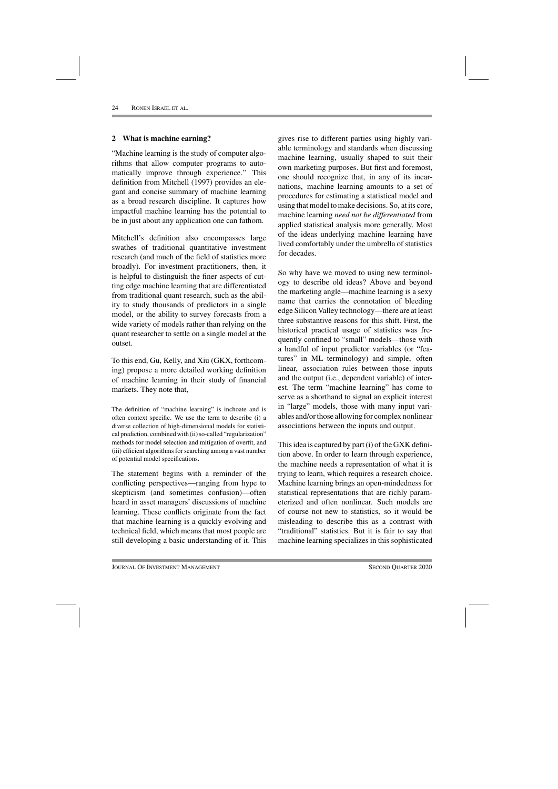## **2 What is machine earning?**

"Machine learning is the study of computer algorithms that allow computer programs to automatically improve through experience." This definition from Mitchell (1997) provides an elegant and concise summary of machine learning as a broad research discipline. It captures how impactful machine learning has the potential to be in just about any application one can fathom.

Mitchell's definition also encompasses large swathes of traditional quantitative investment research (and much of the field of statistics more broadly). For investment practitioners, then, it is helpful to distinguish the finer aspects of cutting edge machine learning that are differentiated from traditional quant research, such as the ability to study thousands of predictors in a single model, or the ability to survey forecasts from a wide variety of models rather than relying on the quant researcher to settle on a single model at the outset.

To this end, Gu, Kelly, and Xiu (GKX, forthcoming) propose a more detailed working definition of machine learning in their study of financial markets. They note that,

The definition of "machine learning" is inchoate and is often context specific. We use the term to describe (i) a diverse collection of high-dimensional models for statistical prediction, combined with (ii) so-called "regularization" methods for model selection and mitigation of overfit, and (iii) efficient algorithms for searching among a vast number of potential model specifications.

The statement begins with a reminder of the conflicting perspectives—ranging from hype to skepticism (and sometimes confusion)—often heard in asset managers' discussions of machine learning. These conflicts originate from the fact that machine learning is a quickly evolving and technical field, which means that most people are still developing a basic understanding of it. This

gives rise to different parties using highly variable terminology and standards when discussing machine learning, usually shaped to suit their own marketing purposes. But first and foremost, one should recognize that, in any of its incarnations, machine learning amounts to a set of procedures for estimating a statistical model and using that model to make decisions. So, at its core, machine learning *need not be differentiated* from applied statistical analysis more generally. Most of the ideas underlying machine learning have lived comfortably under the umbrella of statistics for decades.

So why have we moved to using new terminology to describe old ideas? Above and beyond the marketing angle—machine learning is a sexy name that carries the connotation of bleeding edge Silicon Valley technology—there are at least three substantive reasons for this shift. First, the historical practical usage of statistics was frequently confined to "small" models—those with a handful of input predictor variables (or "features" in ML terminology) and simple, often linear, association rules between those inputs and the output (i.e., dependent variable) of interest. The term "machine learning" has come to serve as a shorthand to signal an explicit interest in "large" models, those with many input variables and/or those allowing for complex nonlinear associations between the inputs and output.

This idea is captured by part (i) of the GXK definition above. In order to learn through experience, the machine needs a representation of what it is trying to learn, which requires a research choice. Machine learning brings an open-mindedness for statistical representations that are richly parameterized and often nonlinear. Such models are of course not new to statistics, so it would be misleading to describe this as a contrast with "traditional" statistics. But it is fair to say that machine learning specializes in this sophisticated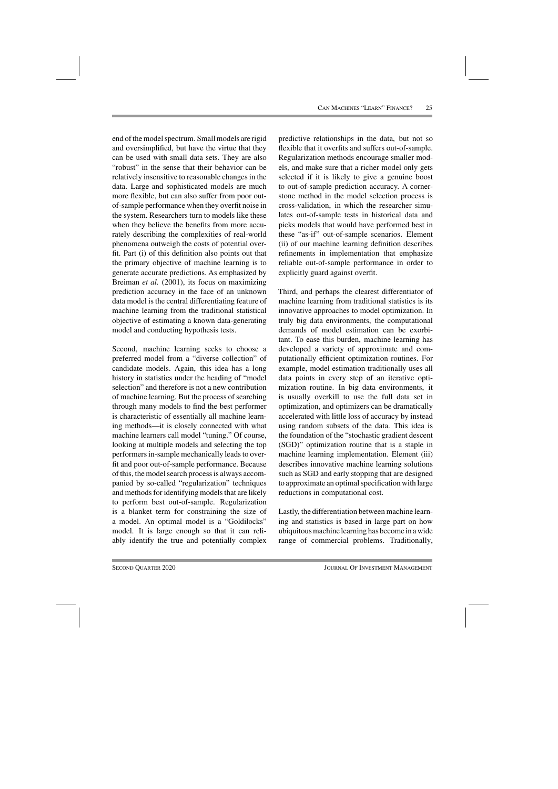end of the model spectrum. Small models are rigid and oversimplified, but have the virtue that they can be used with small data sets. They are also "robust" in the sense that their behavior can be relatively insensitive to reasonable changes in the data. Large and sophisticated models are much more flexible, but can also suffer from poor outof-sample performance when they overfit noise in the system. Researchers turn to models like these when they believe the benefits from more accurately describing the complexities of real-world phenomena outweigh the costs of potential overfit. Part (i) of this definition also points out that the primary objective of machine learning is to generate accurate predictions. As emphasized by Breiman *et al.* (2001), its focus on maximizing prediction accuracy in the face of an unknown data model is the central differentiating feature of machine learning from the traditional statistical objective of estimating a known data-generating model and conducting hypothesis tests.

Second, machine learning seeks to choose a preferred model from a "diverse collection" of candidate models. Again, this idea has a long history in statistics under the heading of "model selection" and therefore is not a new contribution of machine learning. But the process of searching through many models to find the best performer is characteristic of essentially all machine learning methods—it is closely connected with what machine learners call model "tuning." Of course, looking at multiple models and selecting the top performers in-sample mechanically leads to overfit and poor out-of-sample performance. Because of this, the model search process is always accompanied by so-called "regularization" techniques and methods for identifying models that are likely to perform best out-of-sample. Regularization is a blanket term for constraining the size of a model. An optimal model is a "Goldilocks" model. It is large enough so that it can reliably identify the true and potentially complex

predictive relationships in the data, but not so flexible that it overfits and suffers out-of-sample. Regularization methods encourage smaller models, and make sure that a richer model only gets selected if it is likely to give a genuine boost to out-of-sample prediction accuracy. A cornerstone method in the model selection process is cross-validation, in which the researcher simulates out-of-sample tests in historical data and picks models that would have performed best in these "as-if" out-of-sample scenarios. Element (ii) of our machine learning definition describes refinements in implementation that emphasize reliable out-of-sample performance in order to explicitly guard against overfit.

Third, and perhaps the clearest differentiator of machine learning from traditional statistics is its innovative approaches to model optimization. In truly big data environments, the computational demands of model estimation can be exorbitant. To ease this burden, machine learning has developed a variety of approximate and computationally efficient optimization routines. For example, model estimation traditionally uses all data points in every step of an iterative optimization routine. In big data environments, it is usually overkill to use the full data set in optimization, and optimizers can be dramatically accelerated with little loss of accuracy by instead using random subsets of the data. This idea is the foundation of the "stochastic gradient descent (SGD)" optimization routine that is a staple in machine learning implementation. Element (iii) describes innovative machine learning solutions such as SGD and early stopping that are designed to approximate an optimal specification with large reductions in computational cost.

Lastly, the differentiation between machine learning and statistics is based in large part on how ubiquitous machine learning has become in a wide range of commercial problems. Traditionally,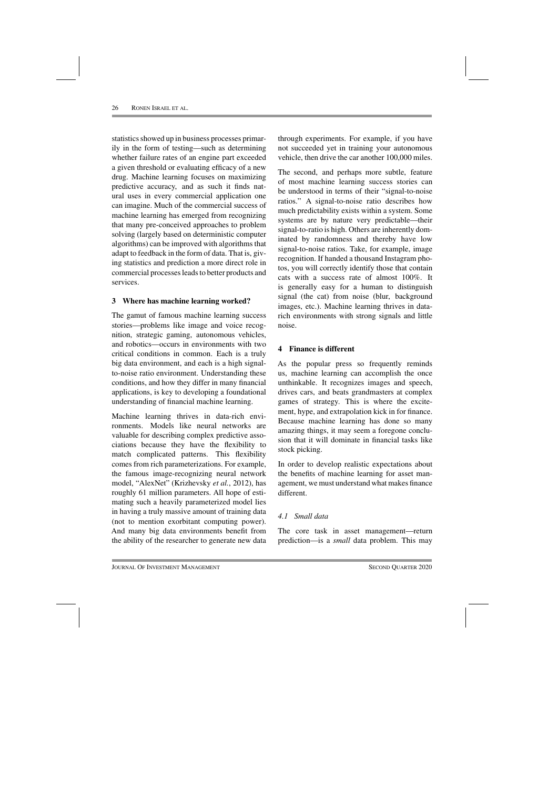statistics showed up in business processes primarily in the form of testing—such as determining whether failure rates of an engine part exceeded a given threshold or evaluating efficacy of a new drug. Machine learning focuses on maximizing predictive accuracy, and as such it finds natural uses in every commercial application one can imagine. Much of the commercial success of machine learning has emerged from recognizing that many pre-conceived approaches to problem solving (largely based on deterministic computer algorithms) can be improved with algorithms that adapt to feedback in the form of data. That is, giving statistics and prediction a more direct role in commercial processes leads to better products and services.

## **3 Where has machine learning worked?**

The gamut of famous machine learning success stories—problems like image and voice recognition, strategic gaming, autonomous vehicles, and robotics—occurs in environments with two critical conditions in common. Each is a truly big data environment, and each is a high signalto-noise ratio environment. Understanding these conditions, and how they differ in many financial applications, is key to developing a foundational understanding of financial machine learning.

Machine learning thrives in data-rich environments. Models like neural networks are valuable for describing complex predictive associations because they have the flexibility to match complicated patterns. This flexibility comes from rich parameterizations. For example, the famous image-recognizing neural network model, "AlexNet" (Krizhevsky *et al.*, 2012), has roughly 61 million parameters. All hope of estimating such a heavily parameterized model lies in having a truly massive amount of training data (not to mention exorbitant computing power). And many big data environments benefit from the ability of the researcher to generate new data

through experiments. For example, if you have not succeeded yet in training your autonomous vehicle, then drive the car another 100,000 miles.

The second, and perhaps more subtle, feature of most machine learning success stories can be understood in terms of their "signal-to-noise ratios." A signal-to-noise ratio describes how much predictability exists within a system. Some systems are by nature very predictable—their signal-to-ratio is high. Others are inherently dominated by randomness and thereby have low signal-to-noise ratios. Take, for example, image recognition. If handed a thousand Instagram photos, you will correctly identify those that contain cats with a success rate of almost 100%. It is generally easy for a human to distinguish signal (the cat) from noise (blur, background images, etc.). Machine learning thrives in datarich environments with strong signals and little noise.

## **4 Finance is different**

As the popular press so frequently reminds us, machine learning can accomplish the once unthinkable. It recognizes images and speech, drives cars, and beats grandmasters at complex games of strategy. This is where the excitement, hype, and extrapolation kick in for finance. Because machine learning has done so many amazing things, it may seem a foregone conclusion that it will dominate in financial tasks like stock picking.

In order to develop realistic expectations about the benefits of machine learning for asset management, we must understand what makes finance different.

## *4.1 Small data*

The core task in asset management—return prediction—is a *small* data problem. This may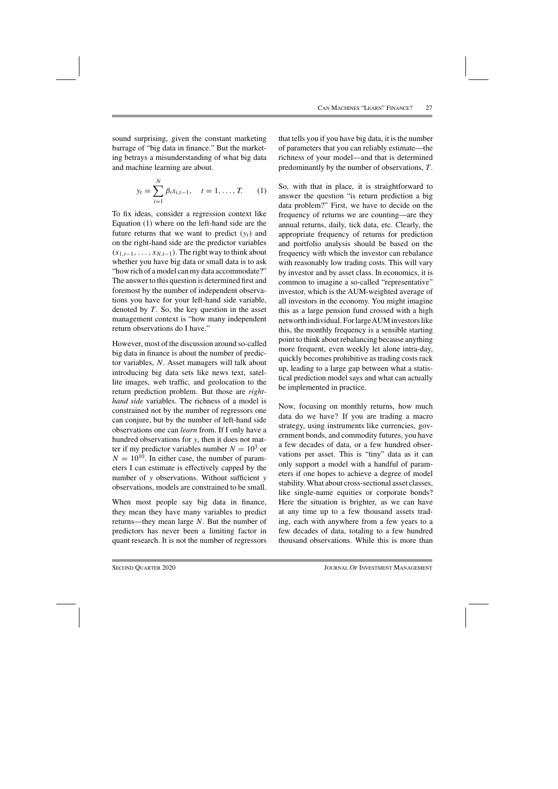sound surprising, given the constant marketing barrage of "big data in finance." But the marketing betrays a misunderstanding of what big data and machine learning are about.

$$
y_t = \sum_{i=1}^{N} \beta_i x_{i,t-1}, \quad t = 1, ..., T.
$$
 (1)

To fix ideas, consider a regression context like Equation (1) where on the left-hand side are the future returns that we want to predict  $(y_t)$  and on the right-hand side are the predictor variables  $(x_{1,t-1},...,x_{N,t-1})$ . The right way to think about whether you have big data or small data is to ask "how rich of a model can my data accommodate?" The answer to this question is determined first and foremost by the number of independent observations you have for your left-hand side variable, denoted by  $T$ . So, the key question in the asset management context is "how many independent return observations do I have."

However, most of the discussion around so-called big data in finance is about the number of predictor variables, N. Asset managers will talk about introducing big data sets like news text, satellite images, web traffic, and geolocation to the return prediction problem. But those are *righthand side* variables. The richness of a model is constrained not by the number of regressors one can conjure, but by the number of left-hand side observations one can *learn* from. If I only have a hundred observations for y, then it does not matter if my predictor variables number  $N = 10^3$  or  $N = 10^{10}$ . In either case, the number of parameters I can estimate is effectively capped by the number of y observations. Without sufficient y observations, models are constrained to be small.

When most people say big data in finance, they mean they have many variables to predict returns—they mean large N. But the number of predictors has never been a limiting factor in quant research. It is not the number of regressors

that tells you if you have big data, it is the number of parameters that you can reliably estimate—the richness of your model—and that is determined predominantly by the number of observations, T .

So, with that in place, it is straightforward to answer the question "is return prediction a big data problem?" First, we have to decide on the frequency of returns we are counting—are they annual returns, daily, tick data, etc. Clearly, the appropriate frequency of returns for prediction and portfolio analysis should be based on the frequency with which the investor can rebalance with reasonably low trading costs. This will vary by investor and by asset class. In economics, it is common to imagine a so-called "representative" investor, which is the AUM-weighted average of all investors in the economy. You might imagine this as a large pension fund crossed with a high networth individual. For largeAUM investors like this, the monthly frequency is a sensible starting point to think about rebalancing because anything more frequent, even weekly let alone intra-day, quickly becomes prohibitive as trading costs rack up, leading to a large gap between what a statistical prediction model says and what can actually be implemented in practice.

Now, focusing on monthly returns, how much data do we have? If you are trading a macro strategy, using instruments like currencies, government bonds, and commodity futures, you have a few decades of data, or a few hundred observations per asset. This is "tiny" data as it can only support a model with a handful of parameters if one hopes to achieve a degree of model stability. What about cross-sectional asset classes, like single-name equities or corporate bonds? Here the situation is brighter, as we can have at any time up to a few thousand assets trading, each with anywhere from a few years to a few decades of data, totaling to a few hundred thousand observations. While this is more than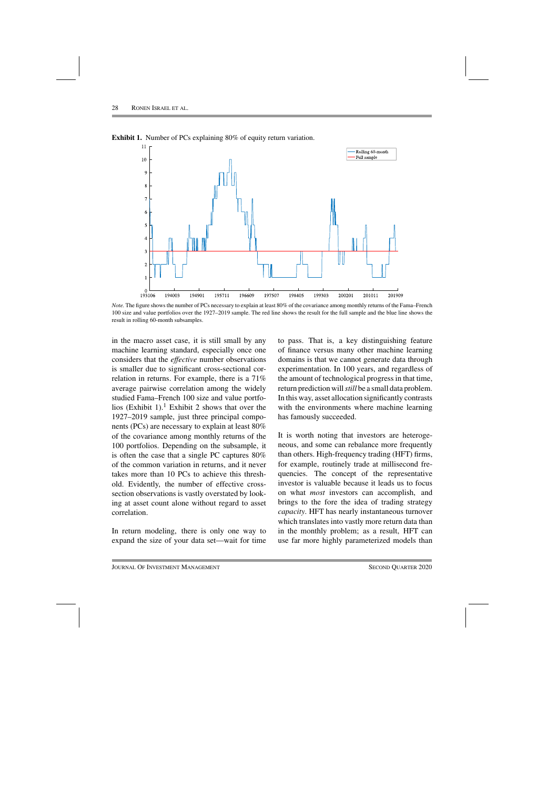

**Exhibit 1.** Number of PCs explaining 80% of equity return variation.

*Note.* The figure shows the number of PCs necessary to explain at least 80% of the covariance among monthly returns of the Fama–French 100 size and value portfolios over the 1927–2019 sample. The red line shows the result for the full sample and the blue line shows the result in rolling 60-month subsamples.

in the macro asset case, it is still small by any machine learning standard, especially once one considers that the *effective* number observations is smaller due to significant cross-sectional correlation in returns. For example, there is a 71% average pairwise correlation among the widely studied Fama–French 100 size and value portfolios (Exhibit 1).<sup>1</sup> Exhibit 2 shows that over the 1927–2019 sample, just three principal components (PCs) are necessary to explain at least 80% of the covariance among monthly returns of the 100 portfolios. Depending on the subsample, it is often the case that a single PC captures 80% of the common variation in returns, and it never takes more than 10 PCs to achieve this threshold. Evidently, the number of effective crosssection observations is vastly overstated by looking at asset count alone without regard to asset correlation.

In return modeling, there is only one way to expand the size of your data set—wait for time to pass. That is, a key distinguishing feature of finance versus many other machine learning domains is that we cannot generate data through experimentation. In 100 years, and regardless of the amount of technological progress in that time, return prediction will*still* be a small data problem. In this way, asset allocation significantly contrasts with the environments where machine learning has famously succeeded.

It is worth noting that investors are heterogeneous, and some can rebalance more frequently than others. High-frequency trading (HFT) firms, for example, routinely trade at millisecond frequencies. The concept of the representative investor is valuable because it leads us to focus on what *most* investors can accomplish, and brings to the fore the idea of trading strategy *capacity*. HFT has nearly instantaneous turnover which translates into vastly more return data than in the monthly problem; as a result, HFT can use far more highly parameterized models than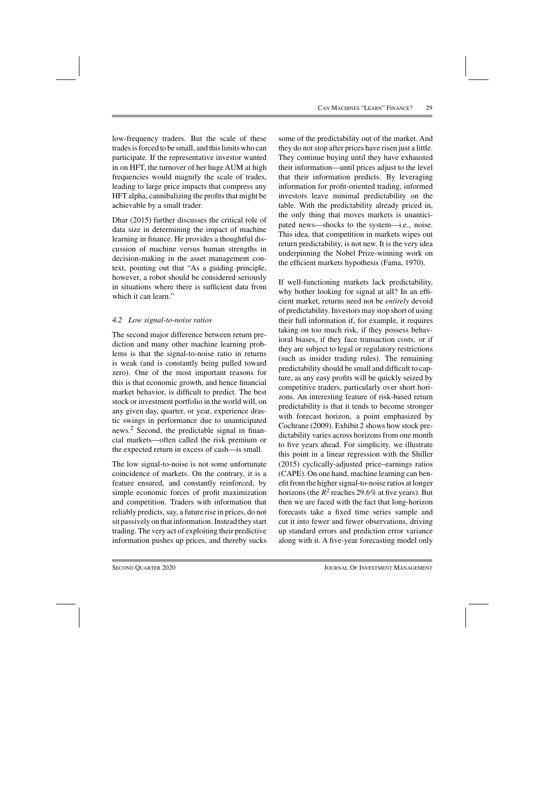low-frequency traders. But the scale of these trades is forced to be small, and this limits who can participate. If the representative investor wanted in on HFT, the turnover of her huge AUM at high frequencies would magnify the scale of trades, leading to large price impacts that compress any HFT alpha, cannibalizing the profits that might be achievable by a small trader.

Dhar (2015) further discusses the critical role of data size in determining the impact of machine learning in finance. He provides a thoughtful discussion of machine versus human strengths in decision-making in the asset management context, pointing out that "As a guiding principle, however, a robot should be considered seriously in situations where there is sufficient data from which it can learn."

## *4.2 Low signal-to-noise ratios*

The second major difference between return prediction and many other machine learning problems is that the signal-to-noise ratio in returns is weak (and is constantly being pulled toward zero). One of the most important reasons for this is that economic growth, and hence financial market behavior, is difficult to predict. The best stock or investment portfolio in the world will, on any given day, quarter, or year, experience drastic swings in performance due to unanticipated news.2 Second, the predictable signal in financial markets—often called the risk premium or the expected return in excess of cash—is small.

The low signal-to-noise is not some unfortunate coincidence of markets. On the contrary, it is a feature ensured, and constantly reinforced, by simple economic forces of profit maximization and competition. Traders with information that reliably predicts, say, a future rise in prices, do not sit passively on that information. Instead they start trading. The very act of exploiting their predictive information pushes up prices, and thereby sucks

some of the predictability out of the market. And they do not stop after prices have risen just a little. They continue buying until they have exhausted their information—until prices adjust to the level that their information predicts. By leveraging information for profit-oriented trading, informed investors leave minimal predictability on the table. With the predictability already priced in, the only thing that moves markets is unanticipated news—shocks to the system—i.e., noise. This idea, that competition in markets wipes out return predictability, is not new. It is the very idea underpinning the Nobel Prize-winning work on the efficient markets hypothesis (Fama, 1970).

If well-functioning markets lack predictability, why bother looking for signal at all? In an efficient market, returns need not be *entirely* devoid of predictability. Investors may stop short of using their full information if, for example, it requires taking on too much risk, if they possess behavioral biases, if they face transaction costs, or if they are subject to legal or regulatory restrictions (such as insider trading rules). The remaining predictability should be small and difficult to capture, as any easy profits will be quickly seized by competitive traders, particularly over short horizons. An interesting feature of risk-based return predictability is that it tends to become stronger with forecast horizon, a point emphasized by Cochrane (2009). Exhibit 2 shows how stock predictability varies across horizons from one month to five years ahead. For simplicity, we illustrate this point in a linear regression with the Shiller (2015) cyclically-adjusted price–earnings ratios (CAPE). On one hand, machine learning can benefit from the higher signal-to-noise ratios at longer horizons (the  $R^2$  reaches 29.6% at five years). But then we are faced with the fact that long-horizon forecasts take a fixed time series sample and cut it into fewer and fewer observations, driving up standard errors and prediction error variance along with it. A five-year forecasting model only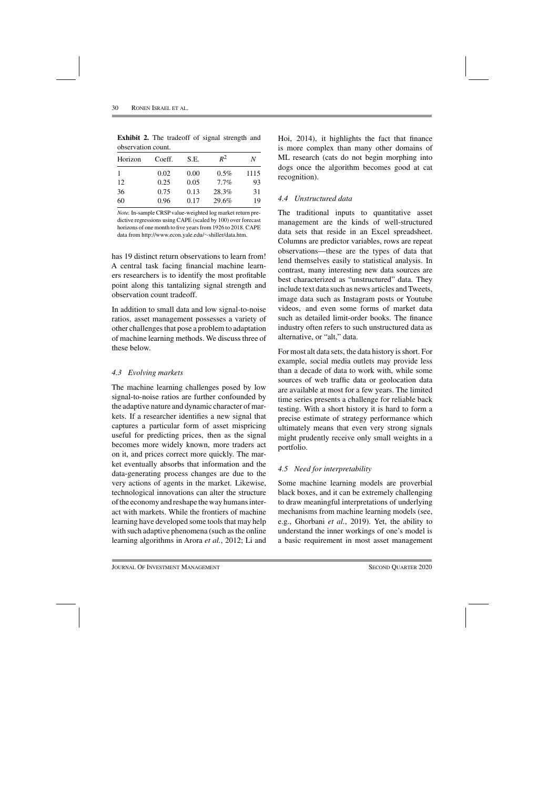| UDSUI VALIUII UUUIII. |        |      |         |      |  |  |  |
|-----------------------|--------|------|---------|------|--|--|--|
| Horizon               | Coeff. | S.E. | $R^2$   | N    |  |  |  |
|                       | 0.02   | 0.00 | $0.5\%$ | 1115 |  |  |  |
| 12                    | 0.25   | 0.05 | $7.7\%$ | 93   |  |  |  |
| 36                    | 0.75   | 0.13 | 28.3%   | 31   |  |  |  |
| 60                    | 0.96   | 0.17 | 29.6%   | 19   |  |  |  |

**Exhibit 2.** The tradeoff of signal strength and observation count.

*Note.* In-sample CRSP value-weighted log market return predictive regressions using CAPE (scaled by 100) over forecast horizons of one month to five years from 1926 to 2018. CAPE data from http://www.econ.yale.edu/∼shiller/data.htm.

has 19 distinct return observations to learn from! A central task facing financial machine learners researchers is to identify the most profitable point along this tantalizing signal strength and observation count tradeoff.

In addition to small data and low signal-to-noise ratios, asset management possesses a variety of other challenges that pose a problem to adaptation of machine learning methods. We discuss three of these below.

## *4.3 Evolving markets*

The machine learning challenges posed by low signal-to-noise ratios are further confounded by the adaptive nature and dynamic character of markets. If a researcher identifies a new signal that captures a particular form of asset mispricing useful for predicting prices, then as the signal becomes more widely known, more traders act on it, and prices correct more quickly. The market eventually absorbs that information and the data-generating process changes are due to the very actions of agents in the market. Likewise, technological innovations can alter the structure of the economy and reshape the way humans interact with markets. While the frontiers of machine learning have developed some tools that may help with such adaptive phenomena (such as the online learning algorithms in Arora *et al.*, 2012; Li and

Hoi, 2014), it highlights the fact that finance is more complex than many other domains of ML research (cats do not begin morphing into dogs once the algorithm becomes good at cat recognition).

## *4.4 Unstructured data*

The traditional inputs to quantitative asset management are the kinds of well-structured data sets that reside in an Excel spreadsheet. Columns are predictor variables, rows are repeat observations—these are the types of data that lend themselves easily to statistical analysis. In contrast, many interesting new data sources are best characterized as "unstructured" data. They include text data such as news articles and Tweets, image data such as Instagram posts or Youtube videos, and even some forms of market data such as detailed limit-order books. The finance industry often refers to such unstructured data as alternative, or "alt," data.

For most alt data sets, the data history is short. For example, social media outlets may provide less than a decade of data to work with, while some sources of web traffic data or geolocation data are available at most for a few years. The limited time series presents a challenge for reliable back testing. With a short history it is hard to form a precise estimate of strategy performance which ultimately means that even very strong signals might prudently receive only small weights in a portfolio.

## *4.5 Need for interpretability*

Some machine learning models are proverbial black boxes, and it can be extremely challenging to draw meaningful interpretations of underlying mechanisms from machine learning models (see, e.g., Ghorbani *et al.*, 2019). Yet, the ability to understand the inner workings of one's model is a basic requirement in most asset management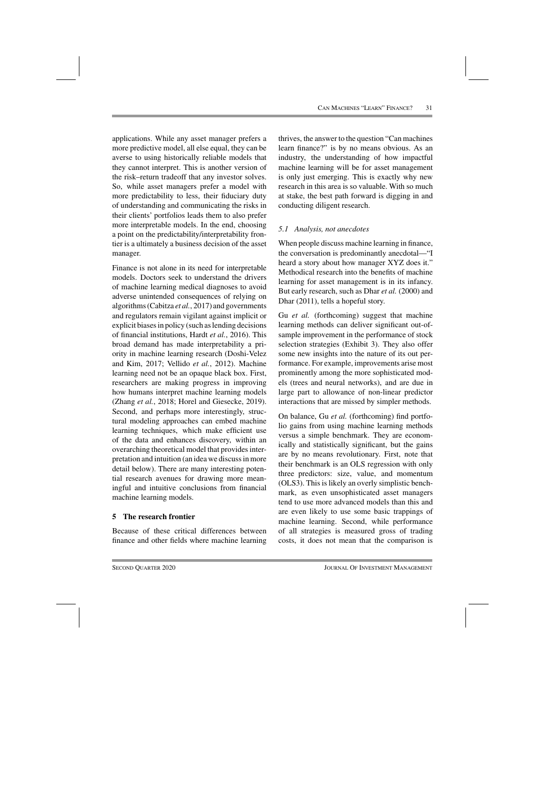applications. While any asset manager prefers a more predictive model, all else equal, they can be averse to using historically reliable models that they cannot interpret. This is another version of the risk–return tradeoff that any investor solves. So, while asset managers prefer a model with more predictability to less, their fiduciary duty of understanding and communicating the risks in their clients' portfolios leads them to also prefer more interpretable models. In the end, choosing a point on the predictability/interpretability frontier is a ultimately a business decision of the asset manager.

Finance is not alone in its need for interpretable models. Doctors seek to understand the drivers of machine learning medical diagnoses to avoid adverse unintended consequences of relying on algorithms (Cabitza *et al.*, 2017) and governments and regulators remain vigilant against implicit or explicit biases in policy (such as lending decisions of financial institutions, Hardt *et al.*, 2016). This broad demand has made interpretability a priority in machine learning research (Doshi-Velez and Kim, 2017; Vellido *et al.*, 2012). Machine learning need not be an opaque black box. First, researchers are making progress in improving how humans interpret machine learning models (Zhang *et al.*, 2018; Horel and Giesecke, 2019). Second, and perhaps more interestingly, structural modeling approaches can embed machine learning techniques, which make efficient use of the data and enhances discovery, within an overarching theoretical model that provides interpretation and intuition (an idea we discuss in more detail below). There are many interesting potential research avenues for drawing more meaningful and intuitive conclusions from financial machine learning models.

## **5 The research frontier**

Because of these critical differences between finance and other fields where machine learning thrives, the answer to the question "Can machines learn finance?" is by no means obvious. As an industry, the understanding of how impactful machine learning will be for asset management is only just emerging. This is exactly why new research in this area is so valuable. With so much at stake, the best path forward is digging in and conducting diligent research.

## *5.1 Analysis, not anecdotes*

When people discuss machine learning in finance, the conversation is predominantly anecdotal—"I heard a story about how manager XYZ does it." Methodical research into the benefits of machine learning for asset management is in its infancy. But early research, such as Dhar *et al.* (2000) and Dhar (2011), tells a hopeful story.

Gu *et al.* (forthcoming) suggest that machine learning methods can deliver significant out-ofsample improvement in the performance of stock selection strategies (Exhibit 3). They also offer some new insights into the nature of its out performance. For example, improvements arise most prominently among the more sophisticated models (trees and neural networks), and are due in large part to allowance of non-linear predictor interactions that are missed by simpler methods.

On balance, Gu *et al.* (forthcoming) find portfolio gains from using machine learning methods versus a simple benchmark. They are economically and statistically significant, but the gains are by no means revolutionary. First, note that their benchmark is an OLS regression with only three predictors: size, value, and momentum (OLS3). This is likely an overly simplistic benchmark, as even unsophisticated asset managers tend to use more advanced models than this and are even likely to use some basic trappings of machine learning. Second, while performance of all strategies is measured gross of trading costs, it does not mean that the comparison is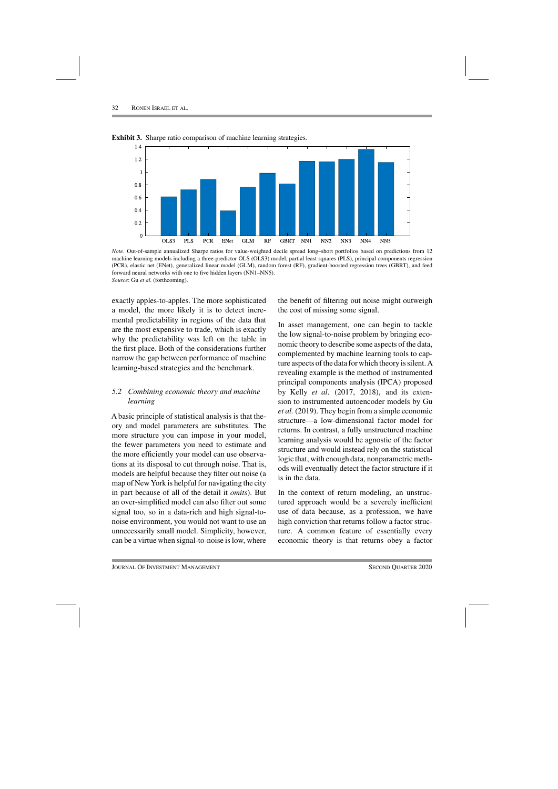

**Exhibit 3.** Sharpe ratio comparison of machine learning strategies.

*Note*. Out-of-sample annualized Sharpe ratios for value-weighted decile spread long–short portfolios based on predictions from 12 machine learning models including a three-predictor OLS (OLS3) model, partial least squares (PLS), principal components regression (PCR), elastic net (ENet), generalized linear model (GLM), random forest (RF), gradient-boosted regression trees (GBRT), and feed forward neural networks with one to five hidden layers (NN1–NN5). *Source*: Gu *et al.* (forthcoming).

exactly apples-to-apples. The more sophisticated a model, the more likely it is to detect incremental predictability in regions of the data that are the most expensive to trade, which is exactly why the predictability was left on the table in the first place. Both of the considerations further narrow the gap between performance of machine learning-based strategies and the benchmark.

## *5.2 Combining economic theory and machine learning*

A basic principle of statistical analysis is that theory and model parameters are substitutes. The more structure you can impose in your model, the fewer parameters you need to estimate and the more efficiently your model can use observations at its disposal to cut through noise. That is, models are helpful because they filter out noise (a map of New York is helpful for navigating the city in part because of all of the detail it *omits*). But an over-simplified model can also filter out some signal too, so in a data-rich and high signal-tonoise environment, you would not want to use an unnecessarily small model. Simplicity, however, can be a virtue when signal-to-noise is low, where

the benefit of filtering out noise might outweigh the cost of missing some signal.

In asset management, one can begin to tackle the low signal-to-noise problem by bringing economic theory to describe some aspects of the data, complemented by machine learning tools to capture aspects of the data for which theory is silent.A revealing example is the method of instrumented principal components analysis (IPCA) proposed by Kelly *et al*. (2017, 2018), and its extension to instrumented autoencoder models by Gu *et al.* (2019). They begin from a simple economic structure—a low-dimensional factor model for returns. In contrast, a fully unstructured machine learning analysis would be agnostic of the factor structure and would instead rely on the statistical logic that, with enough data, nonparametric methods will eventually detect the factor structure if it is in the data.

In the context of return modeling, an unstructured approach would be a severely inefficient use of data because, as a profession, we have high conviction that returns follow a factor structure. A common feature of essentially every economic theory is that returns obey a factor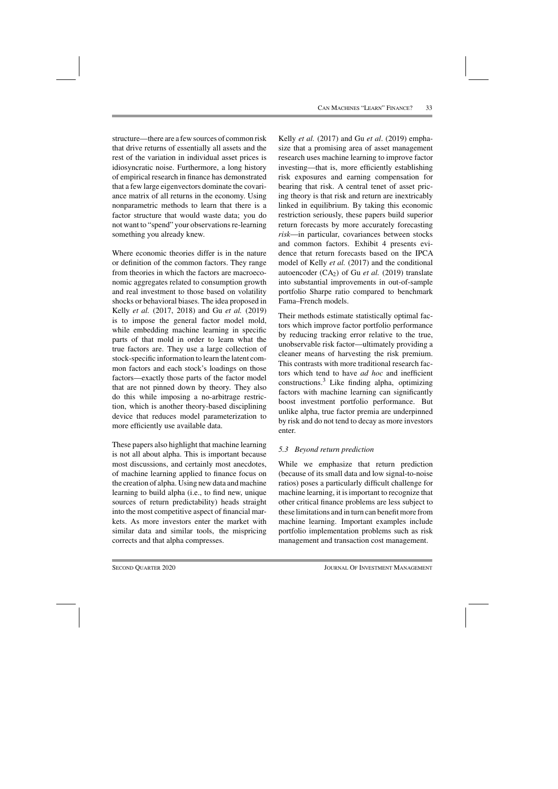structure—there are a few sources of common risk that drive returns of essentially all assets and the rest of the variation in individual asset prices is idiosyncratic noise. Furthermore, a long history of empirical research in finance has demonstrated that a few large eigenvectors dominate the covariance matrix of all returns in the economy. Using nonparametric methods to learn that there is a factor structure that would waste data; you do not want to "spend" your observations re-learning something you already knew.

Where economic theories differ is in the nature or definition of the common factors. They range from theories in which the factors are macroeconomic aggregates related to consumption growth and real investment to those based on volatility shocks or behavioral biases. The idea proposed in Kelly *et al.* (2017, 2018) and Gu *et al.* (2019) is to impose the general factor model mold, while embedding machine learning in specific parts of that mold in order to learn what the true factors are. They use a large collection of stock-specific information to learn the latent common factors and each stock's loadings on those factors—exactly those parts of the factor model that are not pinned down by theory. They also do this while imposing a no-arbitrage restriction, which is another theory-based disciplining device that reduces model parameterization to more efficiently use available data.

These papers also highlight that machine learning is not all about alpha. This is important because most discussions, and certainly most anecdotes, of machine learning applied to finance focus on the creation of alpha. Using new data and machine learning to build alpha (i.e., to find new, unique sources of return predictability) heads straight into the most competitive aspect of financial markets. As more investors enter the market with similar data and similar tools, the mispricing corrects and that alpha compresses.

Kelly *et al.* (2017) and Gu *et al*. (2019) emphasize that a promising area of asset management research uses machine learning to improve factor investing—that is, more efficiently establishing risk exposures and earning compensation for bearing that risk. A central tenet of asset pricing theory is that risk and return are inextricably linked in equilibrium. By taking this economic restriction seriously, these papers build superior return forecasts by more accurately forecasting *risk*—in particular, covariances between stocks and common factors. Exhibit 4 presents evidence that return forecasts based on the IPCA model of Kelly *et al.* (2017) and the conditional autoencoder  $(CA<sub>2</sub>)$  of Gu *et al.* (2019) translate into substantial improvements in out-of-sample portfolio Sharpe ratio compared to benchmark Fama–French models.

Their methods estimate statistically optimal factors which improve factor portfolio performance by reducing tracking error relative to the true, unobservable risk factor—ultimately providing a cleaner means of harvesting the risk premium. This contrasts with more traditional research factors which tend to have *ad hoc* and inefficient  $constructions.<sup>3</sup>$  Like finding alpha, optimizing factors with machine learning can significantly boost investment portfolio performance. But unlike alpha, true factor premia are underpinned by risk and do not tend to decay as more investors enter.

## *5.3 Beyond return prediction*

While we emphasize that return prediction (because of its small data and low signal-to-noise ratios) poses a particularly difficult challenge for machine learning, it is important to recognize that other critical finance problems are less subject to these limitations and in turn can benefit more from machine learning. Important examples include portfolio implementation problems such as risk management and transaction cost management.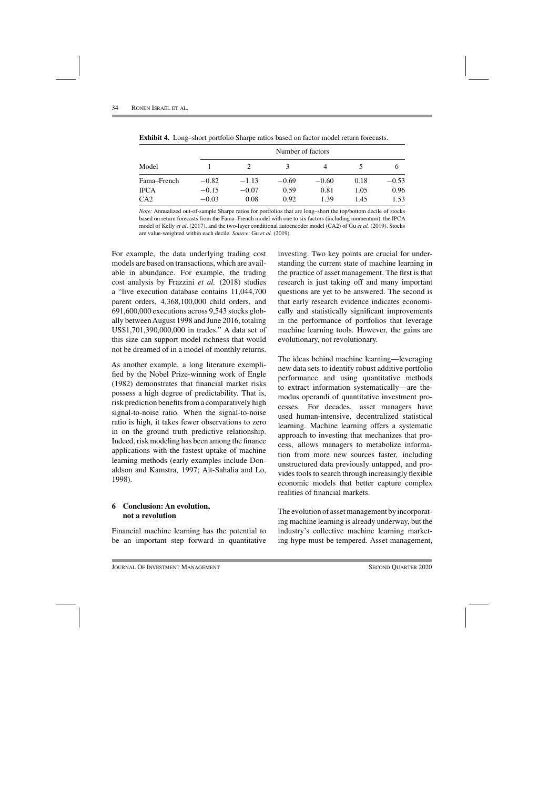|                 | Number of factors |         |         |         |      |         |  |
|-----------------|-------------------|---------|---------|---------|------|---------|--|
| Model           |                   |         | 3       | 4       |      |         |  |
| Fama–French     | $-0.82$           | $-1.13$ | $-0.69$ | $-0.60$ | 0.18 | $-0.53$ |  |
| <b>IPCA</b>     | $-0.15$           | $-0.07$ | 0.59    | 0.81    | 1.05 | 0.96    |  |
| CA <sub>2</sub> | $-0.03$           | 0.08    | 0.92    | 1.39    | 1.45 | 1.53    |  |

**Exhibit 4.** Long–short portfolio Sharpe ratios based on factor model return forecasts.

*Note:* Annualized out-of-sample Sharpe ratios for portfolios that are long–short the top/bottom decile of stocks based on return forecasts from the Fama–French model with one to six factors (including momentum), the IPCA model of Kelly *et al*. (2017), and the two-layer conditional autoencoder model (CA2) of Gu *et al.* (2019). Stocks are value-weighted within each decile. *Source*: Gu *et al.* (2019).

For example, the data underlying trading cost models are based on transactions, which are available in abundance. For example, the trading cost analysis by Frazzini *et al.* (2018) studies a "live execution database contains 11,044,700 parent orders, 4,368,100,000 child orders, and 691,600,000 executions across 9,543 stocks globally betweenAugust 1998 and June 2016, totaling US\$1,701,390,000,000 in trades." A data set of this size can support model richness that would not be dreamed of in a model of monthly returns.

As another example, a long literature exemplified by the Nobel Prize-winning work of Engle (1982) demonstrates that financial market risks possess a high degree of predictability. That is, risk prediction benefits from a comparatively high signal-to-noise ratio. When the signal-to-noise ratio is high, it takes fewer observations to zero in on the ground truth predictive relationship. Indeed, risk modeling has been among the finance applications with the fastest uptake of machine learning methods (early examples include Donaldson and Kamstra, 1997; Aït-Sahalia and Lo, 1998).

## **6 Conclusion: An evolution, not a revolution**

Financial machine learning has the potential to be an important step forward in quantitative investing. Two key points are crucial for understanding the current state of machine learning in the practice of asset management. The first is that research is just taking off and many important questions are yet to be answered. The second is that early research evidence indicates economically and statistically significant improvements in the performance of portfolios that leverage machine learning tools. However, the gains are evolutionary, not revolutionary.

The ideas behind machine learning—leveraging new data sets to identify robust additive portfolio performance and using quantitative methods to extract information systematically—are themodus operandi of quantitative investment processes. For decades, asset managers have used human-intensive, decentralized statistical learning. Machine learning offers a systematic approach to investing that mechanizes that process, allows managers to metabolize information from more new sources faster, including unstructured data previously untapped, and provides tools to search through increasingly flexible economic models that better capture complex realities of financial markets.

The evolution of asset management by incorporating machine learning is already underway, but the industry's collective machine learning marketing hype must be tempered. Asset management,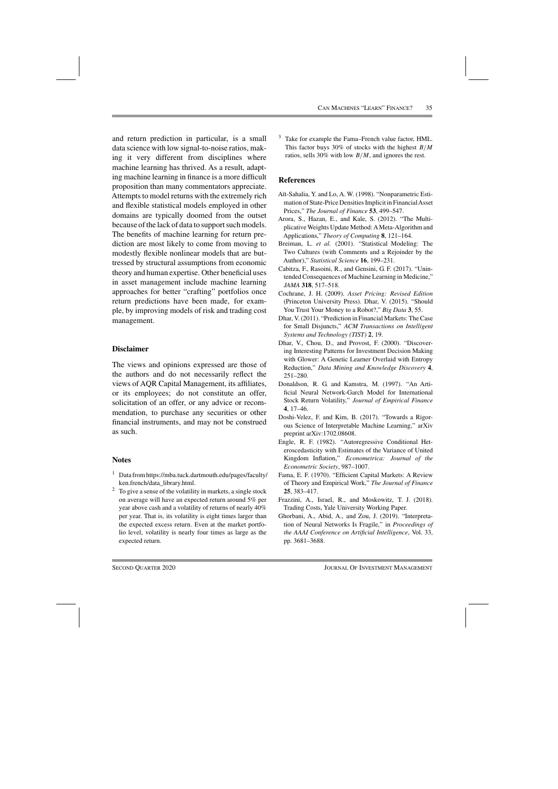and return prediction in particular, is a small data science with low signal-to-noise ratios, making it very different from disciplines where machine learning has thrived. As a result, adapting machine learning in finance is a more difficult proposition than many commentators appreciate. Attempts to model returns with the extremely rich and flexible statistical models employed in other domains are typically doomed from the outset because of the lack of data to support such models. The benefits of machine learning for return prediction are most likely to come from moving to modestly flexible nonlinear models that are buttressed by structural assumptions from economic theory and human expertise. Other beneficial uses in asset management include machine learning approaches for better "crafting" portfolios once return predictions have been made, for example, by improving models of risk and trading cost management.

#### **Disclaimer**

The views and opinions expressed are those of the authors and do not necessarily reflect the views of AQR Capital Management, its affiliates, or its employees; do not constitute an offer, solicitation of an offer, or any advice or recommendation, to purchase any securities or other financial instruments, and may not be construed as such.

#### **Notes**

- <sup>1</sup> Data from https://mba.tuck.dartmouth.edu/pages/faculty/ ken.french/data\_library.html.
- $2\degree$  To give a sense of the volatility in markets, a single stock on average will have an expected return around 5% per year above cash and a volatility of returns of nearly 40% per year. That is, its volatility is eight times larger than the expected excess return. Even at the market portfolio level, volatility is nearly four times as large as the expected return.

<sup>3</sup> Take for example the Fama–French value factor, HML. This factor buys 30% of stocks with the highest  $B/M$ ratios, sells 30% with low  $B/M$ , and ignores the rest.

#### **References**

- Aït-Sahalia, Y. and Lo, A. W. (1998). "Nonparametric Estimation of State-Price Densities Implicit in Financial Asset Prices," *The Journal of Finance* **53**, 499–547.
- Arora, S., Hazan, E., and Kale, S. (2012). "The Multiplicative Weights Update Method: AMeta-Algorithm and Applications," *Theory of Computing* **8**, 121–164.
- Breiman, L. *et al.* (2001). "Statistical Modeling: The Two Cultures (with Comments and a Rejoinder by the Author)," *Statistical Science* **16**, 199–231.
- Cabitza, F., Rasoini, R., and Gensini, G. F. (2017). "Unintended Consequences of Machine Learning in Medicine," *JAMA* **318**, 517–518.
- Cochrane, J. H. (2009). *Asset Pricing: Revised Edition* (Princeton University Press). Dhar, V. (2015). "Should You Trust Your Money to a Robot?," *Big Data* **3**, 55.
- Dhar, V. (2011). "Prediction in Financial Markets: The Case for Small Disjuncts," *ACM Transactions on Intelligent Systems and Technology (TIST)* **2**, 19.
- Dhar, V., Chou, D., and Provost, F. (2000). "Discovering Interesting Patterns for Investment Decision Making with Glower: A Genetic Learner Overlaid with Entropy Reduction," *Data Mining and Knowledge Discovery* **4**, 251–280.
- Donaldson, R. G. and Kamstra, M. (1997). "An Artificial Neural Network-Garch Model for International Stock Return Volatility," *Journal of Empirical Finance* **4**, 17–46.
- Doshi-Velez, F. and Kim, B. (2017). "Towards a Rigorous Science of Interpretable Machine Learning," arXiv preprint arXiv:1702.08608.
- Engle, R. F. (1982). "Autoregressive Conditional Heteroscedasticity with Estimates of the Variance of United Kingdom Inflation," *Econometrica: Journal of the Econometric Society*, 987–1007.
- Fama, E. F. (1970). "Efficient Capital Markets: A Review of Theory and Empirical Work," *The Journal of Finance* **25**, 383–417.
- Frazzini, A., Israel, R., and Moskowitz, T. J. (2018). Trading Costs, Yale University Working Paper.
- Ghorbani, A., Abid, A., and Zou, J. (2019). "Interpretation of Neural Networks Is Fragile," in *Proceedings of the AAAI Conference on Artificial Intelligence*, Vol. 33, pp. 3681–3688.